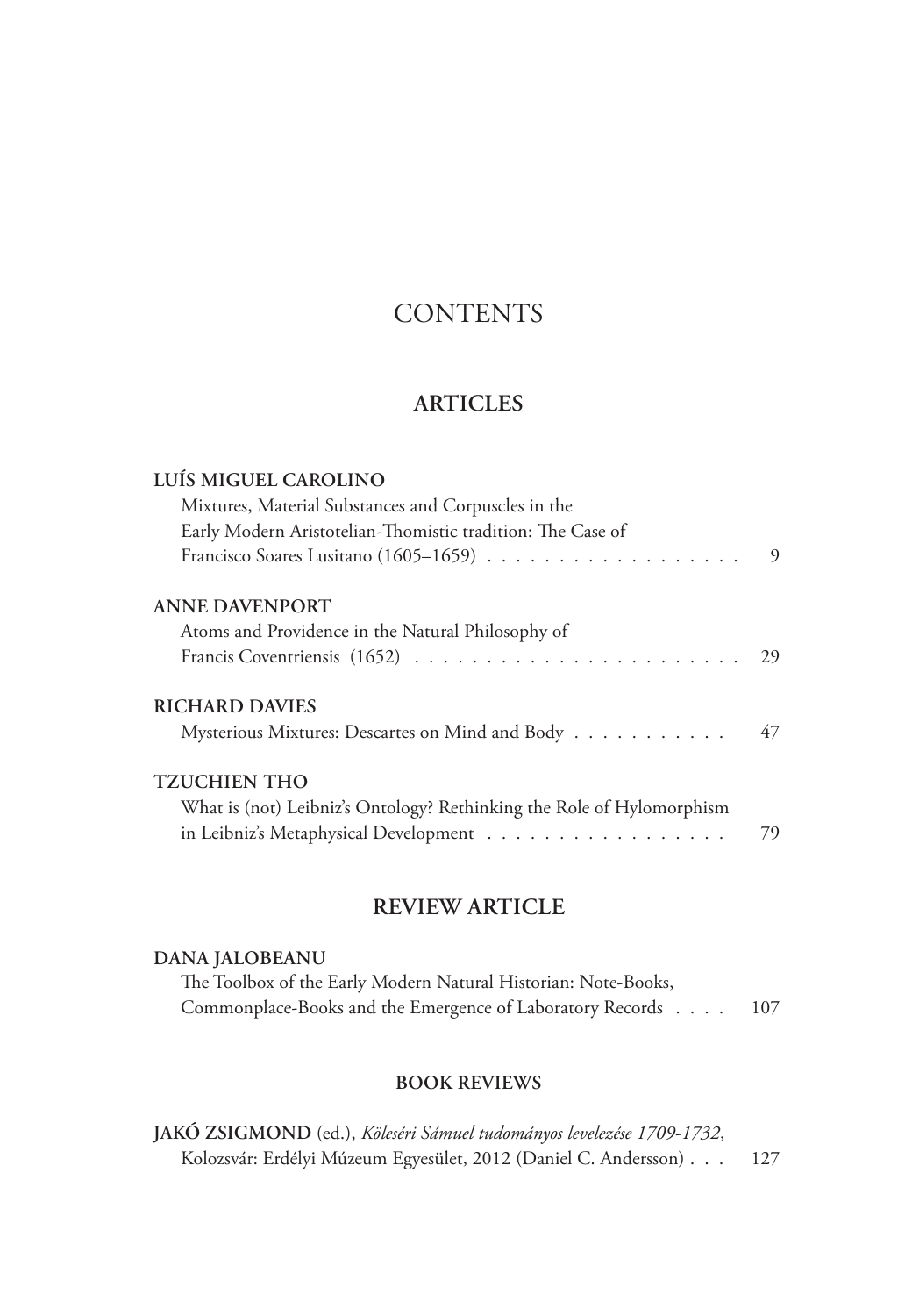# **CONTENTS**

## **ARTICLES**

| LUÍS MIGUEL CAROLINO                                                  |    |
|-----------------------------------------------------------------------|----|
| Mixtures, Material Substances and Corpuscles in the                   |    |
| Early Modern Aristotelian-Thomistic tradition: The Case of            |    |
|                                                                       | 9  |
| ANNE DAVENPORT                                                        |    |
| Atoms and Providence in the Natural Philosophy of                     |    |
|                                                                       |    |
| <b>RICHARD DAVIES</b>                                                 |    |
| Mysterious Mixtures: Descartes on Mind and Body                       | 47 |
| <b>TZUCHIEN THO</b>                                                   |    |
| What is (not) Leibniz's Ontology? Rethinking the Role of Hylomorphism |    |
| in Leibniz's Metaphysical Development                                 | 79 |

## **REVIEW ARTICLE**

#### **DANA JALOBEANU**

The Toolbox of the Early Modern Natural Historian: Note-Books, Commonplace-Books and the Emergence of Laboratory Records . . . . 107

### **BOOK REVIEWS**

**JAKÓ ZSIGMOND** (ed.), *Köleséri Sámuel tudományos levelezése 1709-1732*, Kolozsvár: Erdélyi Múzeum Egyesület, 2012 (Daniel C. Andersson) . . . 127